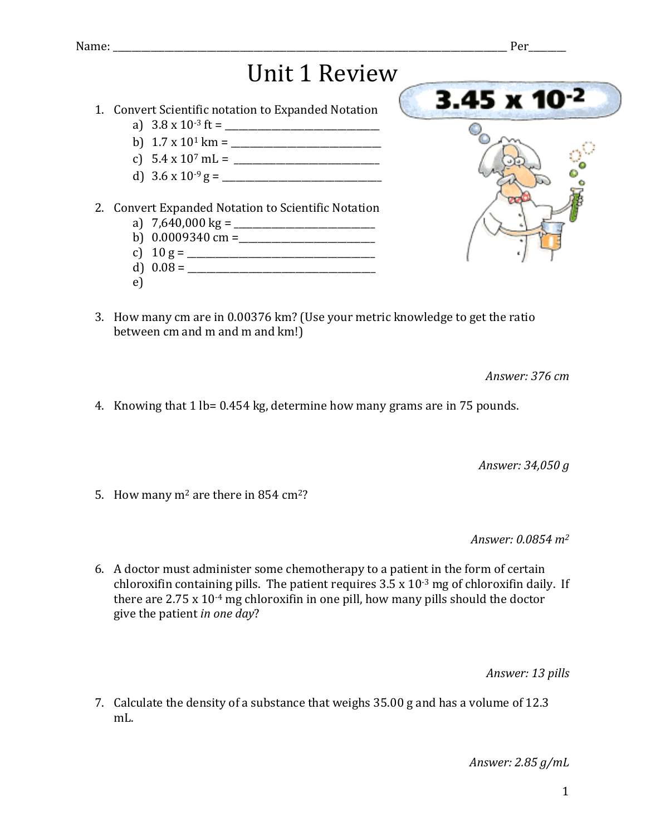## **Unit 1 Review**

- 1. Convert Scientific notation to Expanded Notation
	- a) 3.8 x 10-3 ft = \_\_\_\_\_\_\_\_\_\_\_\_\_\_\_\_\_\_\_\_\_\_\_\_\_\_\_\_\_\_\_\_\_
	- b) 1.7 x 101 km = \_\_\_\_\_\_\_\_\_\_\_\_\_\_\_\_\_\_\_\_\_\_\_\_\_\_\_\_\_\_\_\_
	- c) 5.4 x 107 mL = \_\_\_\_\_\_\_\_\_\_\_\_\_\_\_\_\_\_\_\_\_\_\_\_\_\_\_\_\_\_\_
	- d) 3.6 x 10-9 g = \_\_\_\_\_\_\_\_\_\_\_\_\_\_\_\_\_\_\_\_\_\_\_\_\_\_\_\_\_\_\_\_\_\_
- 2. Convert Expanded Notation to Scientific Notation
	- a) 7,640,000 kg = \_\_\_\_\_\_\_\_\_\_\_\_\_\_\_\_\_\_\_\_\_\_\_\_\_\_\_\_\_\_
	- b) 0.0009340 cm =\_\_\_\_\_\_\_\_\_\_\_\_\_\_\_\_\_\_\_\_\_\_\_\_\_\_\_\_\_
	- c) 10 g = \_\_\_\_\_\_\_\_\_\_\_\_\_\_\_\_\_\_\_\_\_\_\_\_\_\_\_\_\_\_\_\_\_\_\_\_\_\_\_\_
	- d)  $0.08 =$
	- e)



3. How many cm are in 0.00376 km? (Use your metric knowledge to get the ratio between cm and m and m and km!)

*Answer: 376 cm*

4. Knowing that  $1 \text{ lb} = 0.454 \text{ kg}$ , determine how many grams are in 75 pounds.

*Answer: 34,050 g*

5. How many  $m^2$  are there in 854 cm<sup>2</sup>?

*Answer: 0.0854 m2*

6. A doctor must administer some chemotherapy to a patient in the form of certain chloroxifin containing pills. The patient requires  $3.5 \times 10^{-3}$  mg of chloroxifin daily. If there are  $2.75 \times 10^{-4}$  mg chloroxifin in one pill, how many pills should the doctor give the patient *in one day*?

*Answer: 13 pills*

7. Calculate the density of a substance that weighs  $35.00$  g and has a volume of 12.3 mL.

*Answer: 2.85 g/mL*